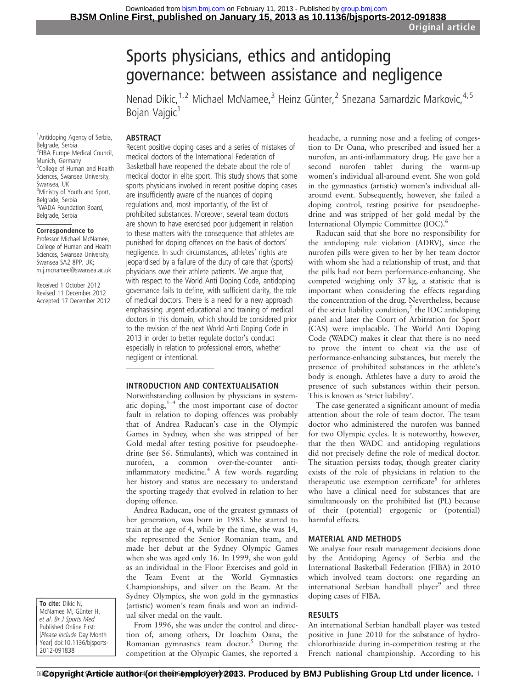# Sports physicians, ethics and antidoping governance: between assistance and negligence

Nenad Dikic,<sup>1,2</sup> Michael McNamee,<sup>3</sup> Heinz Günter,<sup>2</sup> Snezana Samardzic Markovic,<sup>4,5</sup> Bojan Vajgic<sup>1</sup>

## ABSTRACT

1 Antidoping Agency of Serbia, Belgrade, Serbia 2 FIBA Europe Medical Council, Munich, Germany <sup>3</sup> College of Human and Health Sciences, Swansea University, Swansea, UK 4 Ministry of Youth and Sport, Belgrade, Serbia 5 WADA Foundation Board, Belgrade, Serbia

#### Correspondence to

Professor Michael McNamee, College of Human and Health Sciences, Swansea University, Swansea SA2 8PP, UK; m.j.mcnamee@swansea.ac.uk

Received 1 October 2012 Revised 11 December 2012 Accepted 17 December 2012

To cite: Dikic N, McNamee M, Günter H, et al. Br J Sports Med Published Online First: [Please include Day Month Year] doi:10.1136/bjsports-2012-091838

Recent positive doping cases and a series of mistakes of medical doctors of the International Federation of Basketball have reopened the debate about the role of medical doctor in elite sport. This study shows that some sports physicians involved in recent positive doping cases are insufficiently aware of the nuances of doping regulations and, most importantly, of the list of prohibited substances. Moreover, several team doctors are shown to have exercised poor judgement in relation to these matters with the consequence that athletes are punished for doping offences on the basis of doctors' negligence. In such circumstances, athletes' rights are jeopardised by a failure of the duty of care that (sports) physicians owe their athlete patients. We argue that, with respect to the World Anti Doping Code, antidoping governance fails to define, with sufficient clarity, the role of medical doctors. There is a need for a new approach emphasising urgent educational and training of medical doctors in this domain, which should be considered prior to the revision of the next World Anti Doping Code in 2013 in order to better regulate doctor's conduct especially in relation to professional errors, whether negligent or intentional.

# INTRODUCTION AND CONTEXTUALISATION

Notwithstanding collusion by physicians in systematic doping, $1-4$  the most important case of doctor fault in relation to doping offences was probably that of Andrea Raducan's case in the Olympic Games in Sydney, when she was stripped of her Gold medal after testing positive for pseudoephedrine (see S6. Stimulants), which was contained in nurofen, a common over-the-counter antiinflammatory medicine.<sup>4</sup> A few words regarding her history and status are necessary to understand the sporting tragedy that evolved in relation to her doping offence.

Andrea Raducan, one of the greatest gymnasts of her generation, was born in 1983. She started to train at the age of 4, while by the time, she was 14, she represented the Senior Romanian team, and made her debut at the Sydney Olympic Games when she was aged only 16. In 1999, she won gold as an individual in the Floor Exercises and gold in the Team Event at the World Gymnastics Championships, and silver on the Beam. At the Sydney Olympics, she won gold in the gymnastics (artistic) women's team finals and won an individual silver medal on the vault.

From 1996, she was under the control and direction of, among others, Dr Ioachim Oana, the Romanian gymnastics team doctor. $5$  During the competition at the Olympic Games, she reported a headache, a running nose and a feeling of congestion to Dr Oana, who prescribed and issued her a nurofen, an anti-inflammatory drug. He gave her a second nurofen tablet during the warm-up women's individual all-around event. She won gold in the gymnastics (artistic) women's individual allaround event. Subsequently, however, she failed a doping control, testing positive for pseudoephedrine and was stripped of her gold medal by the International Olympic Committee (IOC).<sup>6</sup>

Raducan said that she bore no responsibility for the antidoping rule violation (ADRV), since the nurofen pills were given to her by her team doctor with whom she had a relationship of trust, and that the pills had not been performance-enhancing. She competed weighing only 37 kg, a statistic that is important when considering the effects regarding the concentration of the drug. Nevertheless, because of the strict liability condition, $\frac{7}{1}$  the IOC antidoping panel and later the Court of Arbitration for Sport (CAS) were implacable. The World Anti Doping Code (WADC) makes it clear that there is no need to prove the intent to cheat via the use of performance-enhancing substances, but merely the presence of prohibited substances in the athlete's body is enough. Athletes have a duty to avoid the presence of such substances within their person. This is known as 'strict liability'.

The case generated a significant amount of media attention about the role of team doctor. The team doctor who administered the nurofen was banned for two Olympic cycles. It is noteworthy, however, that the then WADC and antidoping regulations did not precisely define the role of medical doctor. The situation persists today, though greater clarity exists of the role of physicians in relation to the therapeutic use exemption certificate<sup>8</sup> for athletes who have a clinical need for substances that are simultaneously on the prohibited list (PL) because of their (potential) ergogenic or (potential) harmful effects.

# MATERIAL AND METHODS

We analyse four result management decisions done by the Antidoping Agency of Serbia and the International Basketball Federation (FIBA) in 2010 which involved team doctors: one regarding an international Serbian handball player<sup>9</sup> and three doping cases of FIBA.

#### **RESULTS**

An international Serbian handball player was tested positive in June 2010 for the substance of hydrochlorothiazide during in-competition testing at the French national championship. According to his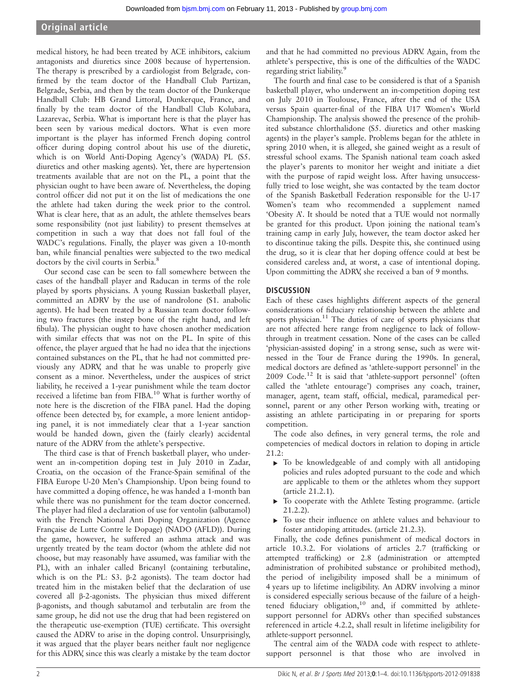# Original article

medical history, he had been treated by ACE inhibitors, calcium antagonists and diuretics since 2008 because of hypertension. The therapy is prescribed by a cardiologist from Belgrade, confirmed by the team doctor of the Handball Club Partizan, Belgrade, Serbia, and then by the team doctor of the Dunkerque Handball Club: HB Grand Littoral, Dunkerque, France, and finally by the team doctor of the Handball Club Kolubara, Lazarevac, Serbia. What is important here is that the player has been seen by various medical doctors. What is even more important is the player has informed French doping control officer during doping control about his use of the diuretic, which is on World Anti-Doping Agency's (WADA) PL (S5. diuretics and other masking agents). Yet, there are hypertension treatments available that are not on the PL, a point that the physician ought to have been aware of. Nevertheless, the doping control officer did not put it on the list of medications the one the athlete had taken during the week prior to the control. What is clear here, that as an adult, the athlete themselves bears some responsibility (not just liability) to present themselves at competition in such a way that does not fall foul of the WADC's regulations. Finally, the player was given a 10-month ban, while financial penalties were subjected to the two medical doctors by the civil courts in Serbia.<sup>8</sup>

Our second case can be seen to fall somewhere between the cases of the handball player and Raducan in terms of the role played by sports physicians. A young Russian basketball player, committed an ADRV by the use of nandrolone (S1. anabolic agents). He had been treated by a Russian team doctor following two fractures (the instep bone of the right hand, and left fibula). The physician ought to have chosen another medication with similar effects that was not on the PL. In spite of this offence, the player argued that he had no idea that the injections contained substances on the PL, that he had not committed previously any ADRV, and that he was unable to properly give consent as a minor. Nevertheless, under the auspices of strict liability, he received a 1-year punishment while the team doctor received a lifetime ban from FIBA.10 What is further worthy of note here is the discretion of the FIBA panel. Had the doping offence been detected by, for example, a more lenient antidoping panel, it is not immediately clear that a 1-year sanction would be handed down, given the (fairly clearly) accidental nature of the ADRV from the athlete's perspective.

The third case is that of French basketball player, who underwent an in-competition doping test in July 2010 in Zadar, Croatia, on the occasion of the France-Spain semifinal of the FIBA Europe U-20 Men's Championship. Upon being found to have committed a doping offence, he was handed a 1-month ban while there was no punishment for the team doctor concerned. The player had filed a declaration of use for ventolin (salbutamol) with the French National Anti Doping Organization (Agence Française de Lutte Contre le Dopage) (NADO (AFLD)). During the game, however, he suffered an asthma attack and was urgently treated by the team doctor (whom the athlete did not choose, but may reasonably have assumed, was familiar with the PL), with an inhaler called Bricanyl (containing terbutaline, which is on the PL: S3. β-2 agonists). The team doctor had treated him in the mistaken belief that the declaration of use covered all β-2-agonists. The physician thus mixed different β-agonists, and though sabutamol and terbutalin are from the same group, he did not use the drug that had been registered on the therapeutic use-exemption (TUE) certificate. This oversight caused the ADRV to arise in the doping control. Unsurprisingly, it was argued that the player bears neither fault nor negligence for this ADRV, since this was clearly a mistake by the team doctor

and that he had committed no previous ADRV. Again, from the athlete's perspective, this is one of the difficulties of the WADC regarding strict liability.<sup>9</sup>

The fourth and final case to be considered is that of a Spanish basketball player, who underwent an in-competition doping test on July 2010 in Toulouse, France, after the end of the USA versus Spain quarter-final of the FIBA U17 Women's World Championship. The analysis showed the presence of the prohibited substance chlorthalidone (S5. diuretics and other masking agents) in the player's sample. Problems began for the athlete in spring 2010 when, it is alleged, she gained weight as a result of stressful school exams. The Spanish national team coach asked the player's parents to monitor her weight and initiate a diet with the purpose of rapid weight loss. After having unsuccessfully tried to lose weight, she was contacted by the team doctor of the Spanish Basketball Federation responsible for the U-17 Women's team who recommended a supplement named 'Obesity A'. It should be noted that a TUE would not normally be granted for this product. Upon joining the national team's training camp in early July, however, the team doctor asked her to discontinue taking the pills. Despite this, she continued using the drug, so it is clear that her doping offence could at best be considered careless and, at worst, a case of intentional doping. Upon committing the ADRV, she received a ban of 9 months.

# **DISCUSSION**

Each of these cases highlights different aspects of the general considerations of fiduciary relationship between the athlete and sports physician.<sup>11</sup> The duties of care of sports physicians that are not affected here range from negligence to lack of followthrough in treatment cessation. None of the cases can be called 'physician-assisted doping' in a strong sense, such as were witnessed in the Tour de France during the 1990s. In general, medical doctors are defined as 'athlete-support personnel' in the 2009 Code.<sup>12</sup> It is said that 'athlete-support personnel' (often called the 'athlete entourage') comprises any coach, trainer, manager, agent, team staff, official, medical, paramedical personnel, parent or any other Person working with, treating or assisting an athlete participating in or preparing for sports competition.

The code also defines, in very general terms, the role and competencies of medical doctors in relation to doping in article 21.2:

- ▸ To be knowledgeable of and comply with all antidoping policies and rules adopted pursuant to the code and which are applicable to them or the athletes whom they support (article 21.2.1).
- ▸ To cooperate with the Athlete Testing programme. (article 21.2.2).
- To use their influence on athlete values and behaviour to foster antidoping attitudes. (article 21.2.3).

Finally, the code defines punishment of medical doctors in article 10.3.2. For violations of articles 2.7 (trafficking or attempted trafficking) or 2.8 (administration or attempted administration of prohibited substance or prohibited method), the period of ineligibility imposed shall be a minimum of 4 years up to lifetime ineligibility. An ADRV involving a minor is considered especially serious because of the failure of a heightened fiduciary obligation, $10$  and, if committed by athletesupport personnel for ADRVs other than specified substances referenced in article 4.2.2, shall result in lifetime ineligibility for athlete-support personnel.

The central aim of the WADA code with respect to athletesupport personnel is that those who are involved in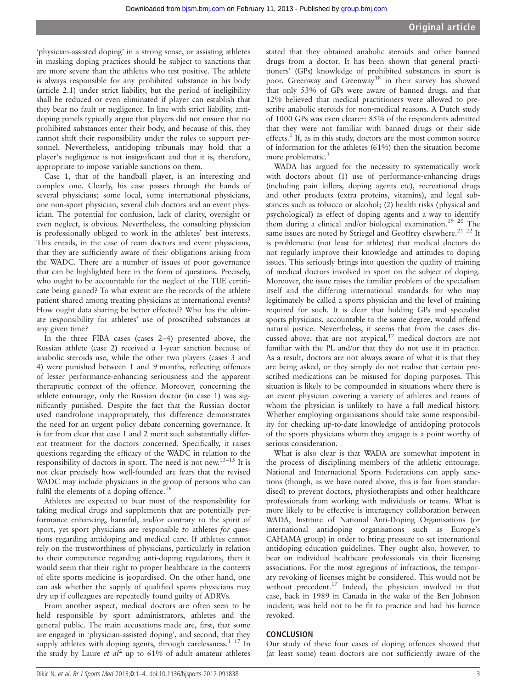'physician-assisted doping' in a strong sense, or assisting athletes in masking doping practices should be subject to sanctions that are more severe than the athletes who test positive. The athlete is always responsible for any prohibited substance in his body (article 2.1) under strict liability, but the period of ineligibility shall be reduced or even eliminated if player can establish that they bear no fault or negligence. In line with strict liability, antidoping panels typically argue that players did not ensure that no prohibited substances enter their body, and because of this, they cannot shift their responsibility under the rules to support personnel. Nevertheless, antidoping tribunals may hold that a player's negligence is not insignificant and that it is, therefore, appropriate to impose variable sanctions on them.

Case 1, that of the handball player, is an interesting and complex one. Clearly, his case passes through the hands of several physicians; some local, some international physicians, one non-sport physician, several club doctors and an event physician. The potential for confusion, lack of clarity, oversight or even neglect, is obvious. Nevertheless, the consulting physician is professionally obliged to work in the athletes' best interests. This entails, in the case of team doctors and event physicians, that they are sufficiently aware of their obligations arising from the WADC. There are a number of issues of poor governance that can be highlighted here in the form of questions. Precisely, who ought to be accountable for the neglect of the TUE certificate being gained? To what extent are the records of the athlete patient shared among treating physicians at international events? How ought data sharing be better effected? Who has the ultimate responsibility for athletes' use of proscribed substances at any given time?

In the three FIBA cases (cases 2–4) presented above, the Russian athlete (case 2) received a 1-year sanction because of anabolic steroids use, while the other two players (cases 3 and 4) were punished between 1 and 9 months, reflecting offences of lesser performance-enhancing seriousness and the apparent therapeutic context of the offence. Moreover, concerning the athlete entourage, only the Russian doctor (in case 1) was significantly punished. Despite the fact that the Russian doctor used nandrolone inappropriately, this difference demonstrates the need for an urgent policy debate concerning governance. It is far from clear that case 1 and 2 merit such substantially different treatment for the doctors concerned. Specifically, it raises questions regarding the efficacy of the WADC in relation to the responsibility of doctors in sport. The need is not new.13–<sup>15</sup> It is not clear precisely how well-founded are fears that the revised WADC may include physicians in the group of persons who can fulfil the elements of a doping offence.<sup>16</sup>

Athletes are expected to bear most of the responsibility for taking medical drugs and supplements that are potentially performance enhancing, harmful, and/or contrary to the spirit of sport, yet sport physicians are responsible to athletes for questions regarding antidoping and medical care. If athletes cannot rely on the trustworthiness of physicians, particularly in relation to their competence regarding anti-doping regulations, then it would seem that their right to proper healthcare in the contexts of elite sports medicine is jeopardised. On the other hand, one can ask whether the supply of qualified sports physicians may dry up if colleagues are repeatedly found guilty of ADRVs.

From another aspect, medical doctors are often seen to be held responsible by sport administrators, athletes and the general public. The main accusations made are, first, that some are engaged in 'physician-assisted doping', and second, that they supply athletes with doping agents, through carelessness.<sup>1</sup> <sup>17</sup> In the study by Laure et  $al^2$  up to 61% of adult amateur athletes

stated that they obtained anabolic steroids and other banned drugs from a doctor. It has been shown that general practitioners' (GPs) knowledge of prohibited substances in sport is poor. Greenway and Greenway<sup>18</sup> in their survey has showed that only 53% of GPs were aware of banned drugs, and that 12% believed that medical practitioners were allowed to prescribe anabolic steroids for non-medical reasons. A Dutch study of 1000 GPs was even clearer: 85% of the respondents admitted that they were not familiar with banned drugs or their side effects.<sup>1</sup> If, as in this study, doctors are the most common source of information for the athletes (61%) then the situation become more problematic.<sup>3</sup>

WADA has argued for the necessity to systematically work with doctors about (1) use of performance-enhancing drugs (including pain killers, doping agents etc), recreational drugs and other products (extra proteins, vitamins), and legal substances such as tobacco or alcohol; (2) health risks (physical and psychological) as effect of doping agents and a way to identify them during a clinical and/or biological examination.<sup>19</sup> <sup>20</sup> The same issues are noted by Striegel and Geoffrey elsewhere.<sup>21 22</sup> It is problematic (not least for athletes) that medical doctors do not regularly improve their knowledge and attitudes to doping issues. This seriously brings into question the quality of training of medical doctors involved in sport on the subject of doping. Moreover, the issue raises the familiar problem of the specialism itself and the differing international standards for who may legitimately be called a sports physician and the level of training required for such. It is clear that holding GPs and specialist sports physicians, accountable to the same degree, would offend natural justice. Nevertheless, it seems that from the cases discussed above, that are not atypical, $17$  medical doctors are not familiar with the PL and/or that they do not use it in practice. As a result, doctors are not always aware of what it is that they are being asked, or they simply do not realise that certain prescribed medications can be misused for doping purposes. This situation is likely to be compounded in situations where there is an event physician covering a variety of athletes and teams of whom the physician is unlikely to have a full medical history. Whether employing organisations should take some responsibility for checking up-to-date knowledge of antidoping protocols of the sports physicians whom they engage is a point worthy of serious consideration.

What is also clear is that WADA are somewhat impotent in the process of disciplining members of the athletic entourage. National and International Sports Federations can apply sanctions (though, as we have noted above, this is fair from standardised) to prevent doctors, physiotherapists and other healthcare professionals from working with individuals or teams. What is more likely to be effective is interagency collaboration between WADA, Institute of National Anti-Doping Organisations (or international antidoping organisations such as Europe's CAHAMA group) in order to bring pressure to set international antidoping education guidelines. They ought also, however, to bear on individual healthcare professionals via their licensing associations. For the most egregious of infractions, the temporary revoking of licenses might be considered. This would not be without precedent.<sup>17</sup> Indeed, the physician involved in that case, back in 1989 in Canada in the wake of the Ben Johnson incident, was held not to be fit to practice and had his licence revoked.

# **CONCLUSION**

Our study of these four cases of doping offences showed that (at least some) team doctors are not sufficiently aware of the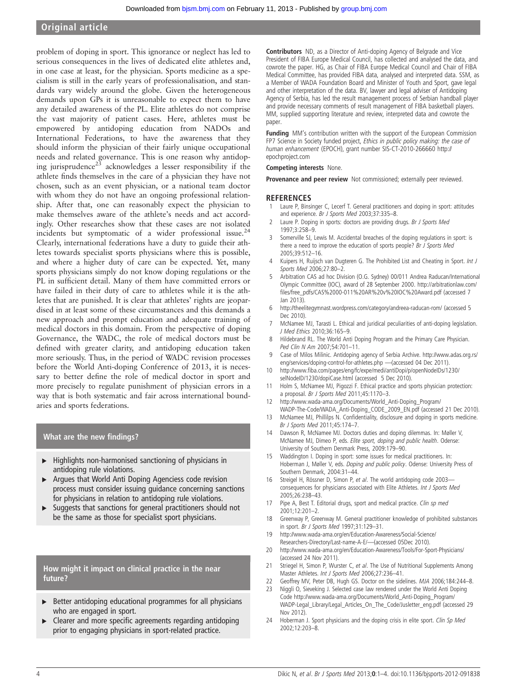# Original article

problem of doping in sport. This ignorance or neglect has led to serious consequences in the lives of dedicated elite athletes and, in one case at least, for the physician. Sports medicine as a specialism is still in the early years of professionalisation, and standards vary widely around the globe. Given the heterogeneous demands upon GPs it is unreasonable to expect them to have any detailed awareness of the PL. Elite athletes do not comprise the vast majority of patient cases. Here, athletes must be empowered by antidoping education from NADOs and International Federations, to have the awareness that they should inform the physician of their fairly unique occupational needs and related governance. This is one reason why antidoping jurisprudence<sup>23</sup> acknowledges a lesser responsibility if the athlete finds themselves in the care of a physician they have not chosen, such as an event physician, or a national team doctor with whom they do not have an ongoing professional relationship. After that, one can reasonably expect the physician to make themselves aware of the athlete's needs and act accordingly. Other researches show that these cases are not isolated incidents but symptomatic of a wider professional issue.<sup>24</sup> Clearly, international federations have a duty to guide their athletes towards specialist sports physicians where this is possible, and where a higher duty of care can be expected. Yet, many sports physicians simply do not know doping regulations or the PL in sufficient detail. Many of them have committed errors or have failed in their duty of care to athletes while it is the athletes that are punished. It is clear that athletes' rights are jeopardised in at least some of these circumstances and this demands a new approach and prompt education and adequate training of medical doctors in this domain. From the perspective of doping Governance, the WADC, the role of medical doctors must be defined with greater clarity, and antidoping education taken more seriously. Thus, in the period of WADC revision processes before the World Anti-doping Conference of 2013, it is necessary to better define the role of medical doctor in sport and more precisely to regulate punishment of physician errors in a way that is both systematic and fair across international boundaries and sports federations.

# What are the new findings?

- $\blacktriangleright$  Highlights non-harmonised sanctioning of physicians in antidoping rule violations.
- Argues that World Anti Doping Agenciess code revision process must consider issuing guidance concerning sanctions for physicians in relation to antidoping rule violations.
- ▸ Suggests that sanctions for general practitioners should not be the same as those for specialist sport physicians.

# How might it impact on clinical practice in the near future?

- $\triangleright$  Better antidoping educational programmes for all physicians who are engaged in sport.
- Clearer and more specific agreements regarding antidoping prior to engaging physicians in sport-related practice.

Contributors ND, as a Director of Anti-doping Agency of Belgrade and Vice President of FIBA Europe Medical Council, has collected and analysed the data, and cowrote the paper. HG, as Chair of FIBA Europe Medical Council and Chair of FIBA Medical Committee, has provided FIBA data, analysed and interpreted data. SSM, as a Member of WADA Foundation Board and Minister of Youth and Sport, gave legal and other interpretation of the data. BV, lawyer and legal adviser of Antidoping Agency of Serbia, has led the result management process of Serbian handball player and provide necessary comments of result management of FIBA basketball players. MM, supplied supporting literature and review, interpreted data and cowrote the paper.

Funding MM's contribution written with the support of the European Commission FP7 Science in Society funded project, Ethics in public policy making: the case of human enhancement (EPOCH), grant number SIS-CT-2010-266660 [http://](http://epochproject.com) [epochproject.com](http://epochproject.com)

#### Competing interests None.

Provenance and peer review Not commissioned; externally peer reviewed.

### **REFERENCES**

- Laure P, Binsinger C, Lecerf T. General practitioners and doping in sport: attitudes and experience. Br J Sports Med 2003;37:335–8.
- 2 Laure P. Doping in sports: doctors are providing drugs. Br J Sports Med 1997;3:258–9.
- 3 Somerville SJ, Lewis M. Accidental breaches of the doping regulations in sport: is there a need to improve the education of sports people? Br J Sports Med 2005;39:512–16.
- Kuipers H, Ruijsch van Dugteren G. The Prohibited List and Cheating in Sport. Int J Sports Med 2006;27:80–2.
- 5 Arbitration CAS ad hoc Division (O.G. Sydney) 00/011 Andrea Raducan/International Olympic Committee (IOC), award of 28 September 2000. [http://arbitrationlaw.com/](http://arbitrationlaw.com/files/free_pdfs/CAS%2000-011%20AR%20v%20IOC%20Award.pdf) fi[les/free\\_pdfs/CAS%2000-011%20AR%20v%20IOC%20Award.pdf](http://arbitrationlaw.com/files/free_pdfs/CAS%2000-011%20AR%20v%20IOC%20Award.pdf) (accessed 7 Jan 2013).
- 6<http://theelitegymnast.wordpress.com/category/andreea-raducan-rom/> (accessed 5 Dec 2010).
- 7 McNamee MJ, Tarasti L. Ethical and juridical peculiarities of anti-doping legislation. J Med Ethics 2010;36:165–9.
- 8 Hildebrand RL. The World Anti Doping Program and the Primary Care Physician. Ped Clin N Am 2007;54:701–11.
- 9 Case of Milos Milinic. Antidoping agency of Serbia Archive. [http://www.adas.org.rs/](http://www.adas.org.rs/eng/services/doping-control-for-athletes.php) [eng/services/doping-control-for-athletes.php](http://www.adas.org.rs/eng/services/doping-control-for-athletes.php) —(accessed 04 Dec 2011).
- 10 [http://](http://www.fiba.com/pages/eng/fc/expe/medi/antiDopi/p/openNodeIDs/1230/selNodeID/1230/dopiCase.html)www.fi[ba.com/pages/eng/fc/expe/medi/antiDopi/p/openNodeIDs/1230/](http://www.fiba.com/pages/eng/fc/expe/medi/antiDopi/p/openNodeIDs/1230/selNodeID/1230/dopiCase.html) [selNodeID/1230/dopiCase.html](http://www.fiba.com/pages/eng/fc/expe/medi/antiDopi/p/openNodeIDs/1230/selNodeID/1230/dopiCase.html) (accessed 5 Dec 2010).
- 11 Holm S, McNamee MJ, Pigozzi F. Ethical practice and sports physician protection: a proposal. Br J Sports Med 2011;45:1170–3.
- 12 [http://www.wada-ama.org/Documents/World\\_Anti-Doping\\_Program/](http://www.wada-ama.org/Documents/World_Anti-Doping_Program/WADP-The-Code/WADA_Anti-Doping_CODE_2009_EN.pdf) [WADP-The-Code/WADA\\_Anti-Doping\\_CODE\\_2009\\_EN.pdf](http://www.wada-ama.org/Documents/World_Anti-Doping_Program/WADP-The-Code/WADA_Anti-Doping_CODE_2009_EN.pdf) (accessed 21 Dec 2010).
- 13 McNamee MJ, Phillilps N. Confidentiality, disclosure and doping in sports medicine. Br J Sports Med 2011;45:174–7.
- 14 Dawson R, McNamee MJ. Doctors duties and doping dilemmas. In: Møller V, McNamee MJ, Dimeo P, eds. Elite sport, doping and public health. Odense: University of Southern Denmark Press, 2009:179–90.
- 15 Waddington I. Doping in sport: some issues for medical practitioners. In: Hoberman J, Møller V, eds. Doping and public policy. Odense: University Press of Southern Denmark, 2004:31–44.
- 16 Streigel H, Rössner D, Simon P, et al. The world antidoping code 2003consequences for physicians associated with Elite Athletes. Int J Sports Med 2005;26:238–43.
- 17 Pipe A, Best T. Editorial drugs, sport and medical practice. Clin sp med 2001;12:201–2.
- 18 Greenway P, Greenway M. General practitioner knowledge of prohibited substances in sport. Br J Sports Med 1997;31:129–31.
- 19 [http://www.wada-ama.org/en/Education-Awareness/Social-Science/](http://www.wada-ama.org/en/Education-Awareness/Social-Science/Researchers-Directory/Last-name-A-E/) [Researchers-Directory/Last-name-A-E/](http://www.wada-ama.org/en/Education-Awareness/Social-Science/Researchers-Directory/Last-name-A-E/)—(accessed 05Dec 2010).
- 20<http://www.wada-ama.org/en/Education-Awareness/Tools/For-Sport-Physicians/> (accessed 24 Nov 2011).
- 21 Striegel H, Simon P, Wurster C, et al. The Use of Nutritional Supplements Among Master Athletes. Int J Sports Med 2006;27:236–41.
- 22 Geoffrey MV, Peter DB, Hugh GS. Doctor on the sidelines. MJA 2006;184:244-8.
- 23 Niggli O, Sieveking J. Selected case law rendered under the World Anti Doping Code [http://www.wada-ama.org/Documents/World\\_Anti-Doping\\_Program/](http://www.wada-ama.org/Documents/World_Anti-Doping_Program/WADP-Legal_Library/Legal_Articles_On_The_Code/Jusletter_eng.pdf) [WADP-Legal\\_Library/Legal\\_Articles\\_On\\_The\\_Code/Jusletter\\_eng.pdf](http://www.wada-ama.org/Documents/World_Anti-Doping_Program/WADP-Legal_Library/Legal_Articles_On_The_Code/Jusletter_eng.pdf) (accessed 29 Nov 2012).
- 24 Hoberman J. Sport physicians and the doping crisis in elite sport. Clin Sp Med 2002;12:203–8.